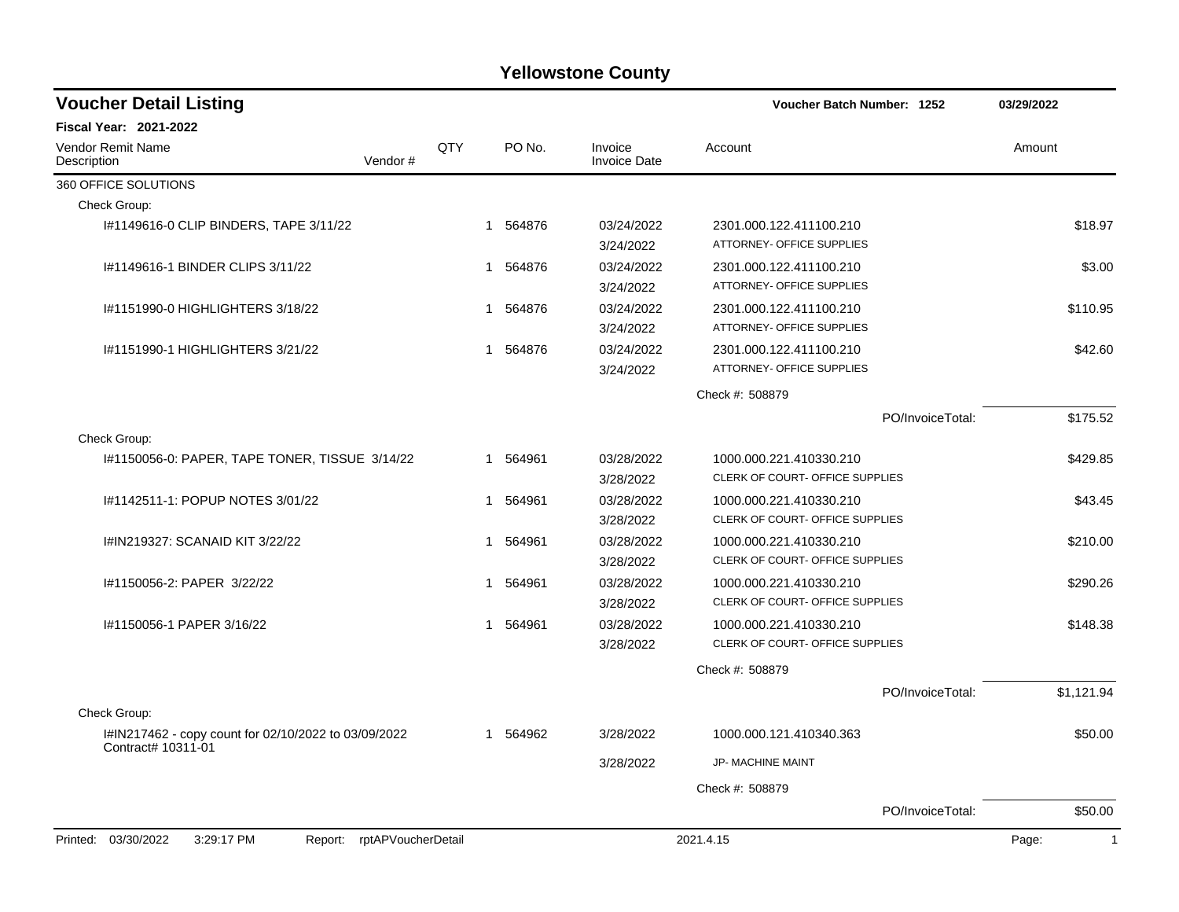| <b>Voucher Detail Listing</b>                                              |     |                        |                                | Voucher Batch Number: 1252                                 | 03/29/2022            |
|----------------------------------------------------------------------------|-----|------------------------|--------------------------------|------------------------------------------------------------|-----------------------|
| Fiscal Year: 2021-2022                                                     |     |                        |                                |                                                            |                       |
| Vendor Remit Name<br>Vendor#<br>Description                                | QTY | PO No.                 | Invoice<br><b>Invoice Date</b> | Account                                                    | Amount                |
| 360 OFFICE SOLUTIONS                                                       |     |                        |                                |                                                            |                       |
| Check Group:                                                               |     |                        |                                |                                                            |                       |
| #1149616-0 CLIP BINDERS, TAPE 3/11/22                                      |     | 564876<br>$\mathbf 1$  | 03/24/2022<br>3/24/2022        | 2301.000.122.411100.210<br>ATTORNEY- OFFICE SUPPLIES       | \$18.97               |
| I#1149616-1 BINDER CLIPS 3/11/22                                           |     | 564876<br>1            | 03/24/2022<br>3/24/2022        | 2301.000.122.411100.210<br>ATTORNEY- OFFICE SUPPLIES       | \$3.00                |
| 1#1151990-0 HIGHLIGHTERS 3/18/22                                           |     | 564876<br>1            | 03/24/2022<br>3/24/2022        | 2301.000.122.411100.210<br>ATTORNEY- OFFICE SUPPLIES       | \$110.95              |
| I#1151990-1 HIGHLIGHTERS 3/21/22                                           |     | 564876<br>1            | 03/24/2022<br>3/24/2022        | 2301.000.122.411100.210<br>ATTORNEY- OFFICE SUPPLIES       | \$42.60               |
|                                                                            |     |                        |                                | Check #: 508879                                            |                       |
|                                                                            |     |                        |                                | PO/InvoiceTotal:                                           | \$175.52              |
| Check Group:                                                               |     |                        |                                |                                                            |                       |
| 1#1150056-0: PAPER, TAPE TONER, TISSUE 3/14/22                             |     | 564961<br>1            | 03/28/2022<br>3/28/2022        | 1000.000.221.410330.210<br>CLERK OF COURT- OFFICE SUPPLIES | \$429.85              |
| I#1142511-1: POPUP NOTES 3/01/22                                           |     | 564961<br>1            | 03/28/2022<br>3/28/2022        | 1000.000.221.410330.210<br>CLERK OF COURT- OFFICE SUPPLIES | \$43.45               |
| I#IN219327: SCANAID KIT 3/22/22                                            |     | 564961<br>1            | 03/28/2022<br>3/28/2022        | 1000.000.221.410330.210<br>CLERK OF COURT- OFFICE SUPPLIES | \$210.00              |
| I#1150056-2: PAPER 3/22/22                                                 | 1   | 564961                 | 03/28/2022<br>3/28/2022        | 1000.000.221.410330.210<br>CLERK OF COURT- OFFICE SUPPLIES | \$290.26              |
| I#1150056-1 PAPER 3/16/22                                                  |     | 564961<br>1            | 03/28/2022<br>3/28/2022        | 1000.000.221.410330.210<br>CLERK OF COURT- OFFICE SUPPLIES | \$148.38              |
|                                                                            |     |                        |                                | Check #: 508879                                            |                       |
|                                                                            |     |                        |                                | PO/InvoiceTotal:                                           | \$1,121.94            |
| Check Group:                                                               |     |                        |                                |                                                            |                       |
| I#IN217462 - copy count for 02/10/2022 to 03/09/2022<br>Contract# 10311-01 |     | 564962<br>$\mathbf{1}$ | 3/28/2022                      | 1000.000.121.410340.363                                    | \$50.00               |
|                                                                            |     |                        | 3/28/2022                      | JP- MACHINE MAINT                                          |                       |
|                                                                            |     |                        |                                | Check #: 508879                                            |                       |
|                                                                            |     |                        |                                | PO/InvoiceTotal:                                           | \$50.00               |
| Printed: 03/30/2022<br>3:29:17 PM<br>Report: rptAPVoucherDetail            |     |                        |                                | 2021.4.15                                                  | $\mathbf{1}$<br>Page: |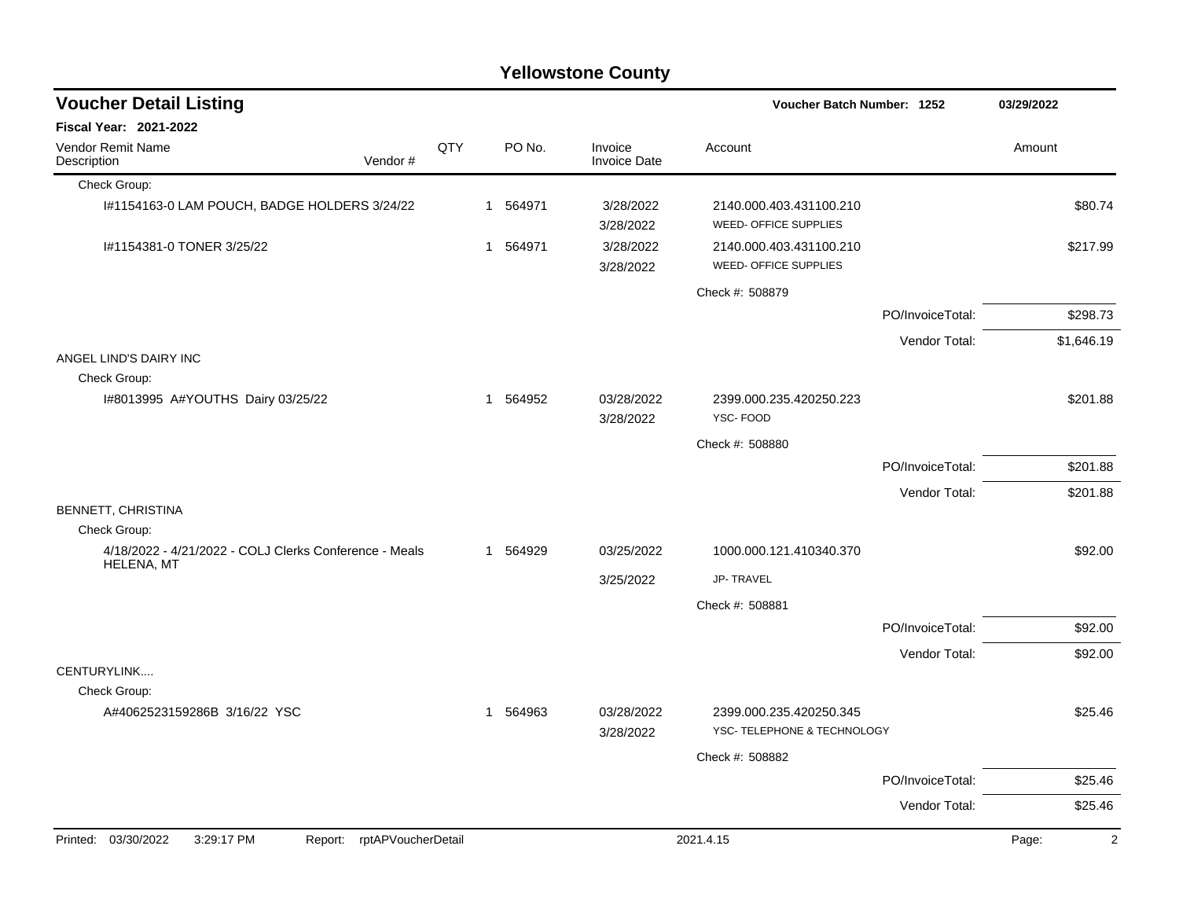| <b>Voucher Detail Listing</b>                                               |     |                        |                                | Voucher Batch Number: 1252                       |                  | 03/29/2022              |
|-----------------------------------------------------------------------------|-----|------------------------|--------------------------------|--------------------------------------------------|------------------|-------------------------|
| <b>Fiscal Year: 2021-2022</b>                                               |     |                        |                                |                                                  |                  |                         |
| Vendor Remit Name<br>Vendor#<br>Description                                 | QTY | PO No.                 | Invoice<br><b>Invoice Date</b> | Account                                          |                  | Amount                  |
| Check Group:                                                                |     |                        |                                |                                                  |                  |                         |
| I#1154163-0 LAM POUCH, BADGE HOLDERS 3/24/22                                |     | 1 564971               | 3/28/2022<br>3/28/2022         | 2140.000.403.431100.210<br>WEED- OFFICE SUPPLIES |                  | \$80.74                 |
| I#1154381-0 TONER 3/25/22                                                   |     | 1 564971               | 3/28/2022<br>3/28/2022         | 2140.000.403.431100.210<br>WEED- OFFICE SUPPLIES |                  | \$217.99                |
|                                                                             |     |                        |                                | Check #: 508879                                  |                  |                         |
|                                                                             |     |                        |                                |                                                  | PO/InvoiceTotal: | \$298.73                |
|                                                                             |     |                        |                                |                                                  | Vendor Total:    | \$1,646.19              |
| ANGEL LIND'S DAIRY INC                                                      |     |                        |                                |                                                  |                  |                         |
| Check Group:<br>I#8013995 A#YOUTHS Dairy 03/25/22                           |     | 564952<br>$\mathbf{1}$ | 03/28/2022                     | 2399.000.235.420250.223                          |                  | \$201.88                |
|                                                                             |     |                        | 3/28/2022                      | YSC-FOOD                                         |                  |                         |
|                                                                             |     |                        |                                | Check #: 508880                                  |                  |                         |
|                                                                             |     |                        |                                |                                                  | PO/InvoiceTotal: | \$201.88                |
|                                                                             |     |                        |                                |                                                  | Vendor Total:    | \$201.88                |
| BENNETT, CHRISTINA                                                          |     |                        |                                |                                                  |                  |                         |
| Check Group:                                                                |     |                        |                                |                                                  |                  |                         |
| 4/18/2022 - 4/21/2022 - COLJ Clerks Conference - Meals<br><b>HELENA, MT</b> |     | 1 564929               | 03/25/2022                     | 1000.000.121.410340.370                          |                  | \$92.00                 |
|                                                                             |     |                        | 3/25/2022                      | <b>JP-TRAVEL</b>                                 |                  |                         |
|                                                                             |     |                        |                                | Check #: 508881                                  |                  |                         |
|                                                                             |     |                        |                                |                                                  | PO/InvoiceTotal: | \$92.00                 |
|                                                                             |     |                        |                                |                                                  | Vendor Total:    | \$92.00                 |
| CENTURYLINK                                                                 |     |                        |                                |                                                  |                  |                         |
| Check Group:<br>A#4062523159286B 3/16/22 YSC                                |     | 1 564963               | 03/28/2022                     | 2399.000.235.420250.345                          |                  | \$25.46                 |
|                                                                             |     |                        | 3/28/2022                      | YSC- TELEPHONE & TECHNOLOGY                      |                  |                         |
|                                                                             |     |                        |                                | Check #: 508882                                  |                  |                         |
|                                                                             |     |                        |                                |                                                  | PO/InvoiceTotal: | \$25.46                 |
|                                                                             |     |                        |                                |                                                  | Vendor Total:    | \$25.46                 |
| Printed: 03/30/2022<br>3:29:17 PM<br>rptAPVoucherDetail<br>Report:          |     |                        |                                | 2021.4.15                                        |                  | Page:<br>$\overline{2}$ |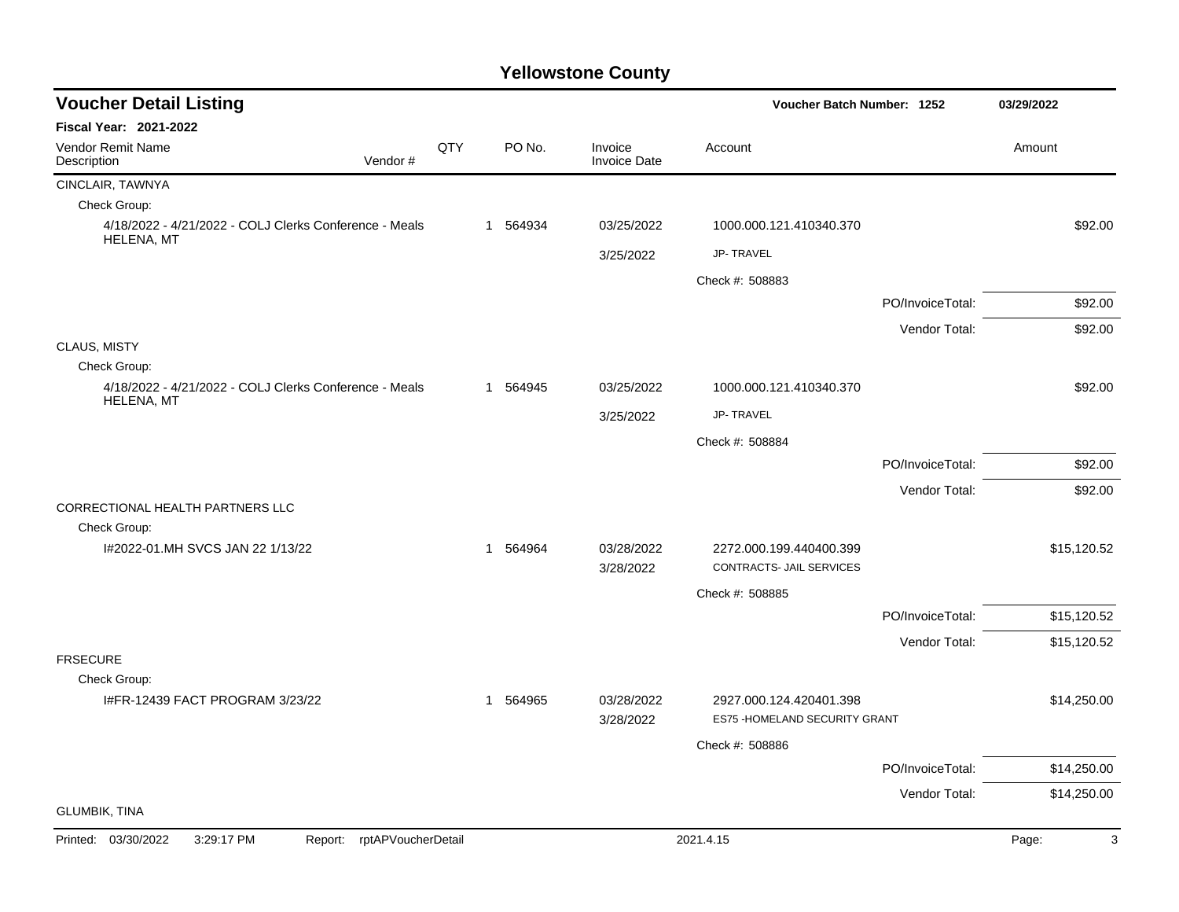| <b>Voucher Detail Listing</b><br>Voucher Batch Number: 1252                 |     |  |          |                                | 03/29/2022                                                |                  |             |
|-----------------------------------------------------------------------------|-----|--|----------|--------------------------------|-----------------------------------------------------------|------------------|-------------|
| <b>Fiscal Year: 2021-2022</b>                                               |     |  |          |                                |                                                           |                  |             |
| <b>Vendor Remit Name</b><br>Vendor#<br>Description                          | QTY |  | PO No.   | Invoice<br><b>Invoice Date</b> | Account                                                   |                  | Amount      |
| CINCLAIR, TAWNYA                                                            |     |  |          |                                |                                                           |                  |             |
| Check Group:                                                                |     |  |          |                                |                                                           |                  |             |
| 4/18/2022 - 4/21/2022 - COLJ Clerks Conference - Meals<br><b>HELENA, MT</b> |     |  | 1 564934 | 03/25/2022                     | 1000.000.121.410340.370                                   |                  | \$92.00     |
|                                                                             |     |  |          | 3/25/2022                      | <b>JP-TRAVEL</b>                                          |                  |             |
|                                                                             |     |  |          |                                | Check #: 508883                                           |                  |             |
|                                                                             |     |  |          |                                |                                                           | PO/InvoiceTotal: | \$92.00     |
|                                                                             |     |  |          |                                |                                                           | Vendor Total:    | \$92.00     |
| CLAUS, MISTY                                                                |     |  |          |                                |                                                           |                  |             |
| Check Group:                                                                |     |  |          |                                |                                                           |                  |             |
| 4/18/2022 - 4/21/2022 - COLJ Clerks Conference - Meals<br><b>HELENA, MT</b> |     |  | 1 564945 | 03/25/2022                     | 1000.000.121.410340.370                                   |                  | \$92.00     |
|                                                                             |     |  |          | 3/25/2022                      | JP-TRAVEL                                                 |                  |             |
|                                                                             |     |  |          |                                | Check #: 508884                                           |                  |             |
|                                                                             |     |  |          |                                |                                                           | PO/InvoiceTotal: | \$92.00     |
|                                                                             |     |  |          |                                |                                                           | Vendor Total:    | \$92.00     |
| CORRECTIONAL HEALTH PARTNERS LLC                                            |     |  |          |                                |                                                           |                  |             |
| Check Group:                                                                |     |  |          |                                |                                                           |                  |             |
| I#2022-01.MH SVCS JAN 22 1/13/22                                            |     |  | 1 564964 | 03/28/2022<br>3/28/2022        | 2272.000.199.440400.399<br>CONTRACTS- JAIL SERVICES       |                  | \$15,120.52 |
|                                                                             |     |  |          |                                | Check #: 508885                                           |                  |             |
|                                                                             |     |  |          |                                |                                                           | PO/InvoiceTotal: | \$15,120.52 |
|                                                                             |     |  |          |                                |                                                           | Vendor Total:    | \$15,120.52 |
| <b>FRSECURE</b>                                                             |     |  |          |                                |                                                           |                  |             |
| Check Group:                                                                |     |  |          |                                |                                                           |                  |             |
| I#FR-12439 FACT PROGRAM 3/23/22                                             |     |  | 1 564965 | 03/28/2022<br>3/28/2022        | 2927.000.124.420401.398<br>ES75 - HOMELAND SECURITY GRANT |                  | \$14,250.00 |
|                                                                             |     |  |          |                                | Check #: 508886                                           |                  |             |
|                                                                             |     |  |          |                                |                                                           | PO/InvoiceTotal: | \$14,250.00 |
|                                                                             |     |  |          |                                |                                                           | Vendor Total:    | \$14,250.00 |
| <b>GLUMBIK, TINA</b>                                                        |     |  |          |                                |                                                           |                  |             |
| Printed: 03/30/2022<br>3:29:17 PM<br>Report: rptAPVoucherDetail             |     |  |          |                                | 2021.4.15                                                 |                  | 3<br>Page:  |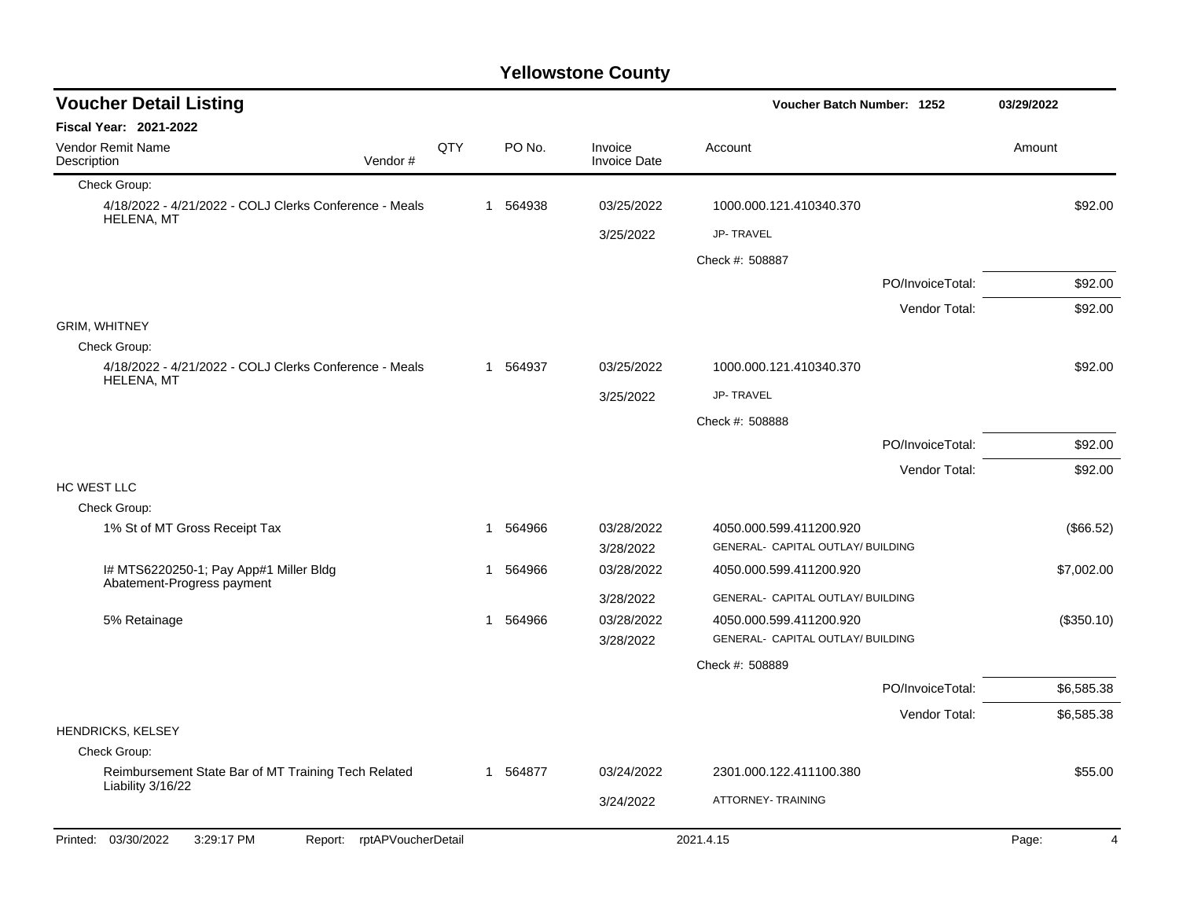| <b>Voucher Detail Listing</b>                                               |     |    |        |                                | Voucher Batch Number: 1252        |                  | 03/29/2022 |  |
|-----------------------------------------------------------------------------|-----|----|--------|--------------------------------|-----------------------------------|------------------|------------|--|
| <b>Fiscal Year: 2021-2022</b>                                               |     |    |        |                                |                                   |                  |            |  |
| Vendor Remit Name<br>Description<br>Vendor#                                 | QTY |    | PO No. | Invoice<br><b>Invoice Date</b> | Account                           |                  | Amount     |  |
| Check Group:                                                                |     |    |        |                                |                                   |                  |            |  |
| 4/18/2022 - 4/21/2022 - COLJ Clerks Conference - Meals<br><b>HELENA, MT</b> |     | 1  | 564938 | 03/25/2022                     | 1000.000.121.410340.370           |                  | \$92.00    |  |
|                                                                             |     |    |        | 3/25/2022                      | JP-TRAVEL                         |                  |            |  |
|                                                                             |     |    |        |                                | Check #: 508887                   |                  |            |  |
|                                                                             |     |    |        |                                |                                   | PO/InvoiceTotal: | \$92.00    |  |
|                                                                             |     |    |        |                                |                                   | Vendor Total:    | \$92.00    |  |
| <b>GRIM, WHITNEY</b>                                                        |     |    |        |                                |                                   |                  |            |  |
| Check Group:                                                                |     | 1  | 564937 | 03/25/2022                     |                                   |                  | \$92.00    |  |
| 4/18/2022 - 4/21/2022 - COLJ Clerks Conference - Meals<br><b>HELENA, MT</b> |     |    |        |                                | 1000.000.121.410340.370           |                  |            |  |
|                                                                             |     |    |        | 3/25/2022                      | JP-TRAVEL                         |                  |            |  |
|                                                                             |     |    |        |                                | Check #: 508888                   |                  |            |  |
|                                                                             |     |    |        |                                |                                   | PO/InvoiceTotal: | \$92.00    |  |
|                                                                             |     |    |        |                                |                                   | Vendor Total:    | \$92.00    |  |
| HC WEST LLC<br>Check Group:                                                 |     |    |        |                                |                                   |                  |            |  |
| 1% St of MT Gross Receipt Tax                                               |     | 1  | 564966 | 03/28/2022                     | 4050.000.599.411200.920           |                  | (\$66.52)  |  |
|                                                                             |     |    |        | 3/28/2022                      | GENERAL- CAPITAL OUTLAY/ BUILDING |                  |            |  |
| I# MTS6220250-1; Pay App#1 Miller Bldg<br>Abatement-Progress payment        |     | 1  | 564966 | 03/28/2022                     | 4050.000.599.411200.920           |                  | \$7,002.00 |  |
|                                                                             |     |    |        | 3/28/2022                      | GENERAL- CAPITAL OUTLAY/ BUILDING |                  |            |  |
| 5% Retainage                                                                |     | 1  | 564966 | 03/28/2022                     | 4050.000.599.411200.920           |                  | (\$350.10) |  |
|                                                                             |     |    |        | 3/28/2022                      | GENERAL- CAPITAL OUTLAY/ BUILDING |                  |            |  |
|                                                                             |     |    |        |                                | Check #: 508889                   |                  |            |  |
|                                                                             |     |    |        |                                |                                   | PO/InvoiceTotal: | \$6,585.38 |  |
|                                                                             |     |    |        |                                |                                   | Vendor Total:    | \$6,585.38 |  |
| <b>HENDRICKS, KELSEY</b>                                                    |     |    |        |                                |                                   |                  |            |  |
| Check Group:                                                                |     |    |        |                                |                                   |                  |            |  |
| Reimbursement State Bar of MT Training Tech Related<br>Liability 3/16/22    |     | -1 | 564877 | 03/24/2022                     | 2301.000.122.411100.380           |                  | \$55.00    |  |
|                                                                             |     |    |        | 3/24/2022                      | ATTORNEY- TRAINING                |                  |            |  |
| Printed: 03/30/2022<br>3:29:17 PM<br>rptAPVoucherDetail<br>Report:          |     |    |        |                                | 2021.4.15                         |                  | Page:<br>4 |  |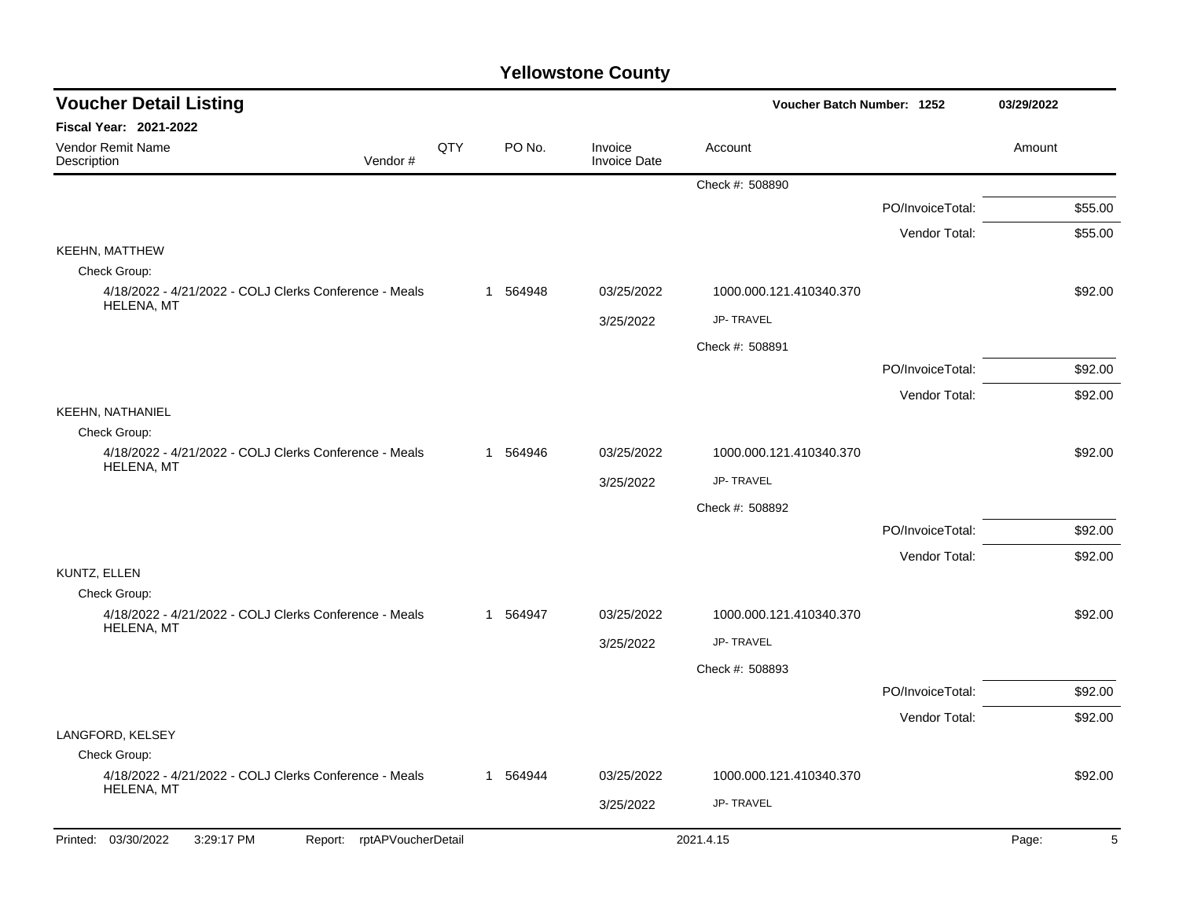| <b>Voucher Detail Listing</b>                                          |     |          |                                | Voucher Batch Number: 1252 |                  | 03/29/2022 |         |
|------------------------------------------------------------------------|-----|----------|--------------------------------|----------------------------|------------------|------------|---------|
| Fiscal Year: 2021-2022                                                 |     |          |                                |                            |                  |            |         |
| Vendor Remit Name<br>Description<br>Vendor#                            | QTY | PO No.   | Invoice<br><b>Invoice Date</b> | Account                    |                  | Amount     |         |
|                                                                        |     |          |                                | Check #: 508890            |                  |            |         |
|                                                                        |     |          |                                |                            | PO/InvoiceTotal: |            | \$55.00 |
|                                                                        |     |          |                                |                            | Vendor Total:    |            | \$55.00 |
| <b>KEEHN, MATTHEW</b>                                                  |     |          |                                |                            |                  |            |         |
| Check Group:<br>4/18/2022 - 4/21/2022 - COLJ Clerks Conference - Meals |     | 1 564948 | 03/25/2022                     | 1000.000.121.410340.370    |                  |            | \$92.00 |
| HELENA, MT                                                             |     |          | 3/25/2022                      | JP-TRAVEL                  |                  |            |         |
|                                                                        |     |          |                                | Check #: 508891            |                  |            |         |
|                                                                        |     |          |                                |                            | PO/InvoiceTotal: |            | \$92.00 |
|                                                                        |     |          |                                |                            | Vendor Total:    |            | \$92.00 |
| <b>KEEHN, NATHANIEL</b>                                                |     |          |                                |                            |                  |            |         |
| Check Group:                                                           |     |          |                                |                            |                  |            |         |
| 4/18/2022 - 4/21/2022 - COLJ Clerks Conference - Meals<br>HELENA, MT   |     | 1 564946 | 03/25/2022                     | 1000.000.121.410340.370    |                  |            | \$92.00 |
|                                                                        |     |          | 3/25/2022                      | <b>JP-TRAVEL</b>           |                  |            |         |
|                                                                        |     |          |                                | Check #: 508892            |                  |            |         |
|                                                                        |     |          |                                |                            | PO/InvoiceTotal: |            | \$92.00 |
|                                                                        |     |          |                                |                            | Vendor Total:    |            | \$92.00 |
| KUNTZ, ELLEN                                                           |     |          |                                |                            |                  |            |         |
| Check Group:<br>4/18/2022 - 4/21/2022 - COLJ Clerks Conference - Meals |     | 1 564947 | 03/25/2022                     | 1000.000.121.410340.370    |                  |            | \$92.00 |
| HELENA, MT                                                             |     |          | 3/25/2022                      | <b>JP-TRAVEL</b>           |                  |            |         |
|                                                                        |     |          |                                | Check #: 508893            |                  |            |         |
|                                                                        |     |          |                                |                            | PO/InvoiceTotal: |            | \$92.00 |
|                                                                        |     |          |                                |                            | Vendor Total:    |            | \$92.00 |
| LANGFORD, KELSEY                                                       |     |          |                                |                            |                  |            |         |
| Check Group:                                                           |     |          |                                |                            |                  |            |         |
| 4/18/2022 - 4/21/2022 - COLJ Clerks Conference - Meals<br>HELENA, MT   |     | 1 564944 | 03/25/2022                     | 1000.000.121.410340.370    |                  |            | \$92.00 |
|                                                                        |     |          | 3/25/2022                      | JP-TRAVEL                  |                  |            |         |
| Printed: 03/30/2022<br>3:29:17 PM<br>Report: rptAPVoucherDetail        |     |          |                                | 2021.4.15                  |                  | Page:      | 5       |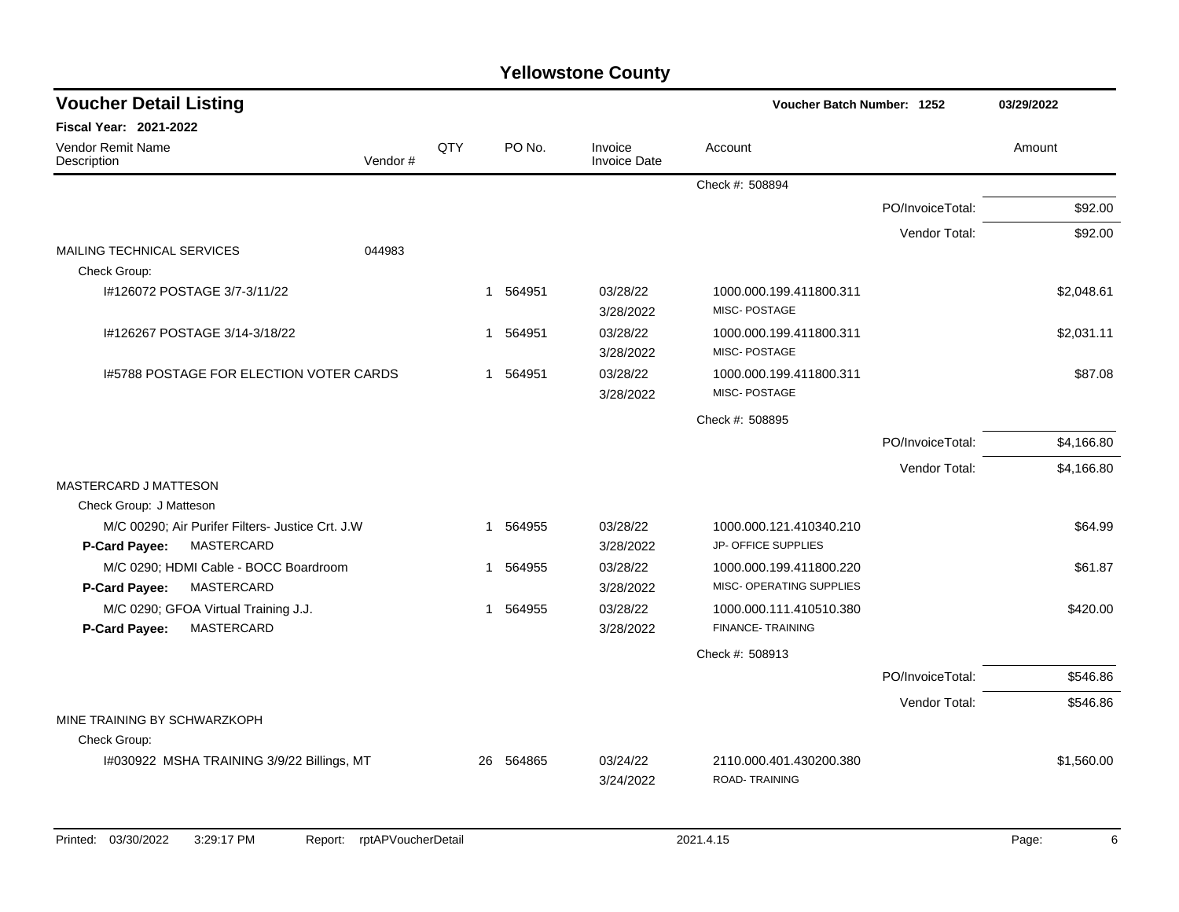| <b>Voucher Detail Listing</b>                                                   |         |     |          |                                | Voucher Batch Number: 1252                          |                  | 03/29/2022 |
|---------------------------------------------------------------------------------|---------|-----|----------|--------------------------------|-----------------------------------------------------|------------------|------------|
| <b>Fiscal Year: 2021-2022</b>                                                   |         |     |          |                                |                                                     |                  |            |
| <b>Vendor Remit Name</b><br>Description                                         | Vendor# | QTY | PO No.   | Invoice<br><b>Invoice Date</b> | Account                                             |                  | Amount     |
|                                                                                 |         |     |          |                                | Check #: 508894                                     |                  |            |
|                                                                                 |         |     |          |                                |                                                     | PO/InvoiceTotal: | \$92.00    |
|                                                                                 |         |     |          |                                |                                                     | Vendor Total:    | \$92.00    |
| <b>MAILING TECHNICAL SERVICES</b>                                               | 044983  |     |          |                                |                                                     |                  |            |
| Check Group:                                                                    |         |     |          |                                |                                                     |                  |            |
| I#126072 POSTAGE 3/7-3/11/22                                                    |         | 1   | 564951   | 03/28/22<br>3/28/2022          | 1000.000.199.411800.311<br>MISC-POSTAGE             |                  | \$2,048.61 |
| I#126267 POSTAGE 3/14-3/18/22                                                   |         | 1   | 564951   | 03/28/22<br>3/28/2022          | 1000.000.199.411800.311<br>MISC-POSTAGE             |                  | \$2,031.11 |
| 1#5788 POSTAGE FOR ELECTION VOTER CARDS                                         |         |     | 1 564951 | 03/28/22<br>3/28/2022          | 1000.000.199.411800.311<br>MISC-POSTAGE             |                  | \$87.08    |
|                                                                                 |         |     |          |                                | Check #: 508895                                     |                  |            |
|                                                                                 |         |     |          |                                |                                                     | PO/InvoiceTotal: | \$4,166.80 |
|                                                                                 |         |     |          |                                |                                                     | Vendor Total:    | \$4,166.80 |
| MASTERCARD J MATTESON                                                           |         |     |          |                                |                                                     |                  |            |
| Check Group: J Matteson                                                         |         |     |          |                                |                                                     |                  |            |
| M/C 00290; Air Purifer Filters- Justice Crt. J.W<br>MASTERCARD<br>P-Card Payee: |         | -1  | 564955   | 03/28/22<br>3/28/2022          | 1000.000.121.410340.210<br>JP- OFFICE SUPPLIES      |                  | \$64.99    |
| M/C 0290; HDMI Cable - BOCC Boardroom                                           |         |     | 1 564955 | 03/28/22                       | 1000.000.199.411800.220                             |                  | \$61.87    |
| MASTERCARD<br>P-Card Payee:                                                     |         |     |          | 3/28/2022                      | MISC- OPERATING SUPPLIES                            |                  |            |
| M/C 0290; GFOA Virtual Training J.J.<br><b>MASTERCARD</b><br>P-Card Payee:      |         | 1   | 564955   | 03/28/22<br>3/28/2022          | 1000.000.111.410510.380<br><b>FINANCE- TRAINING</b> |                  | \$420.00   |
|                                                                                 |         |     |          |                                | Check #: 508913                                     |                  |            |
|                                                                                 |         |     |          |                                |                                                     | PO/InvoiceTotal: | \$546.86   |
|                                                                                 |         |     |          |                                |                                                     | Vendor Total:    | \$546.86   |
| MINE TRAINING BY SCHWARZKOPH                                                    |         |     |          |                                |                                                     |                  |            |
| Check Group:                                                                    |         |     |          |                                |                                                     |                  |            |
| I#030922 MSHA TRAINING 3/9/22 Billings, MT                                      |         | 26  | 564865   | 03/24/22<br>3/24/2022          | 2110.000.401.430200.380<br><b>ROAD-TRAINING</b>     |                  | \$1,560.00 |
|                                                                                 |         |     |          |                                |                                                     |                  |            |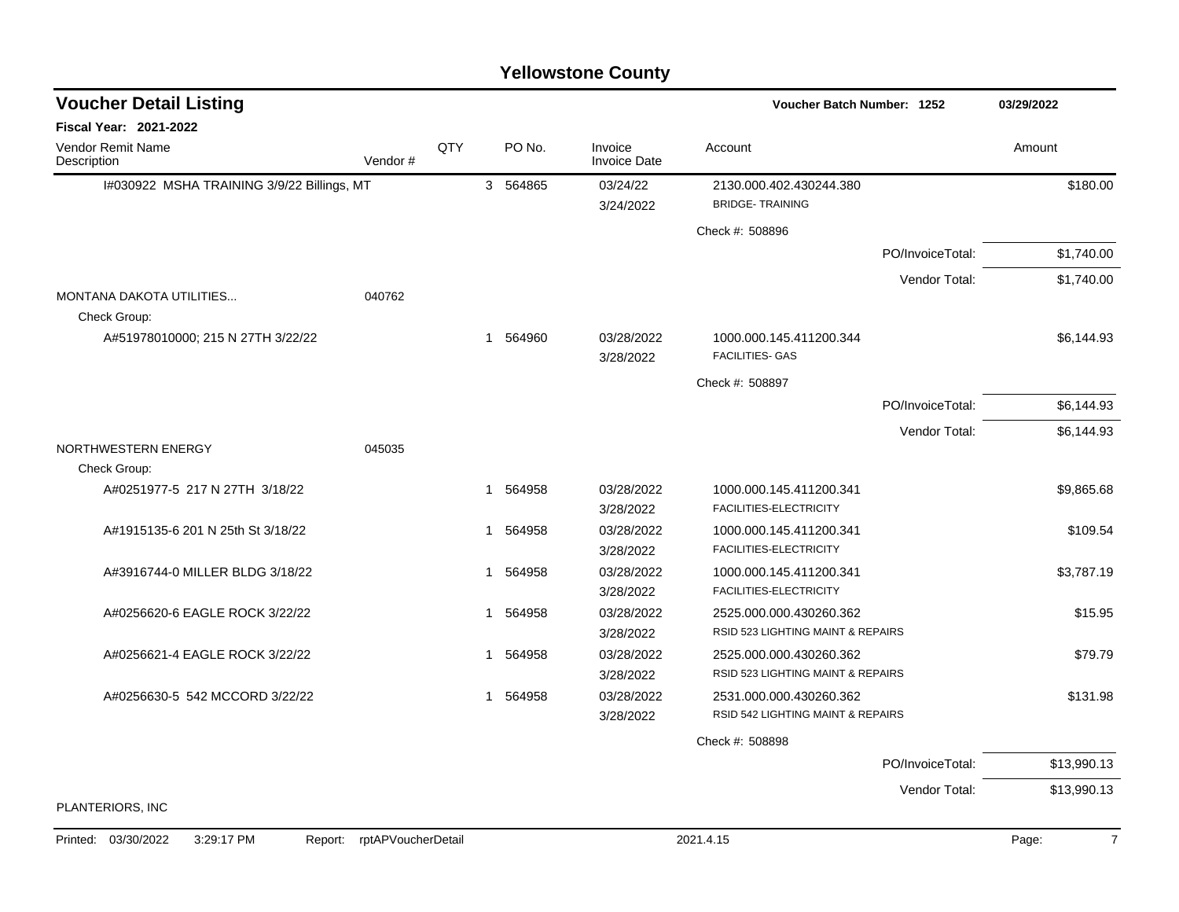| <b>Voucher Detail Listing</b>                |                    |             |          |                                | <b>Voucher Batch Number: 1252</b>                            |                  | 03/29/2022              |
|----------------------------------------------|--------------------|-------------|----------|--------------------------------|--------------------------------------------------------------|------------------|-------------------------|
| <b>Fiscal Year: 2021-2022</b>                |                    |             |          |                                |                                                              |                  |                         |
| <b>Vendor Remit Name</b><br>Description      | Vendor#            | QTY         | PO No.   | Invoice<br><b>Invoice Date</b> | Account                                                      |                  | Amount                  |
| I#030922 MSHA TRAINING 3/9/22 Billings, MT   |                    |             | 3 564865 | 03/24/22<br>3/24/2022          | 2130.000.402.430244.380<br><b>BRIDGE-TRAINING</b>            |                  | \$180.00                |
|                                              |                    |             |          |                                | Check #: 508896                                              |                  |                         |
|                                              |                    |             |          |                                |                                                              | PO/InvoiceTotal: | \$1,740.00              |
|                                              |                    |             |          |                                |                                                              | Vendor Total:    | \$1,740.00              |
| MONTANA DAKOTA UTILITIES<br>Check Group:     | 040762             |             |          |                                |                                                              |                  |                         |
| A#51978010000; 215 N 27TH 3/22/22            |                    |             | 1 564960 | 03/28/2022<br>3/28/2022        | 1000.000.145.411200.344<br><b>FACILITIES- GAS</b>            |                  | \$6,144.93              |
|                                              |                    |             |          |                                | Check #: 508897                                              |                  |                         |
|                                              |                    |             |          |                                |                                                              | PO/InvoiceTotal: | \$6,144.93              |
|                                              |                    |             |          |                                |                                                              | Vendor Total:    | \$6,144.93              |
| NORTHWESTERN ENERGY<br>Check Group:          | 045035             |             |          |                                |                                                              |                  |                         |
| A#0251977-5 217 N 27TH 3/18/22               |                    | $\mathbf 1$ | 564958   | 03/28/2022<br>3/28/2022        | 1000.000.145.411200.341<br>FACILITIES-ELECTRICITY            |                  | \$9,865.68              |
| A#1915135-6 201 N 25th St 3/18/22            |                    | 1           | 564958   | 03/28/2022<br>3/28/2022        | 1000.000.145.411200.341<br>FACILITIES-ELECTRICITY            |                  | \$109.54                |
| A#3916744-0 MILLER BLDG 3/18/22              |                    | -1          | 564958   | 03/28/2022<br>3/28/2022        | 1000.000.145.411200.341<br>FACILITIES-ELECTRICITY            |                  | \$3.787.19              |
| A#0256620-6 EAGLE ROCK 3/22/22               |                    | 1           | 564958   | 03/28/2022<br>3/28/2022        | 2525.000.000.430260.362<br>RSID 523 LIGHTING MAINT & REPAIRS |                  | \$15.95                 |
| A#0256621-4 EAGLE ROCK 3/22/22               |                    | $\mathbf 1$ | 564958   | 03/28/2022<br>3/28/2022        | 2525.000.000.430260.362<br>RSID 523 LIGHTING MAINT & REPAIRS |                  | \$79.79                 |
| A#0256630-5 542 MCCORD 3/22/22               |                    |             | 564958   | 03/28/2022<br>3/28/2022        | 2531.000.000.430260.362<br>RSID 542 LIGHTING MAINT & REPAIRS |                  | \$131.98                |
|                                              |                    |             |          |                                | Check #: 508898                                              |                  |                         |
|                                              |                    |             |          |                                |                                                              | PO/InvoiceTotal: | \$13,990.13             |
|                                              |                    |             |          |                                |                                                              | Vendor Total:    | \$13,990.13             |
| PLANTERIORS, INC                             |                    |             |          |                                |                                                              |                  |                         |
| 3:29:17 PM<br>Printed: 03/30/2022<br>Report: | rptAPVoucherDetail |             |          |                                | 2021.4.15                                                    |                  | $\overline{7}$<br>Page: |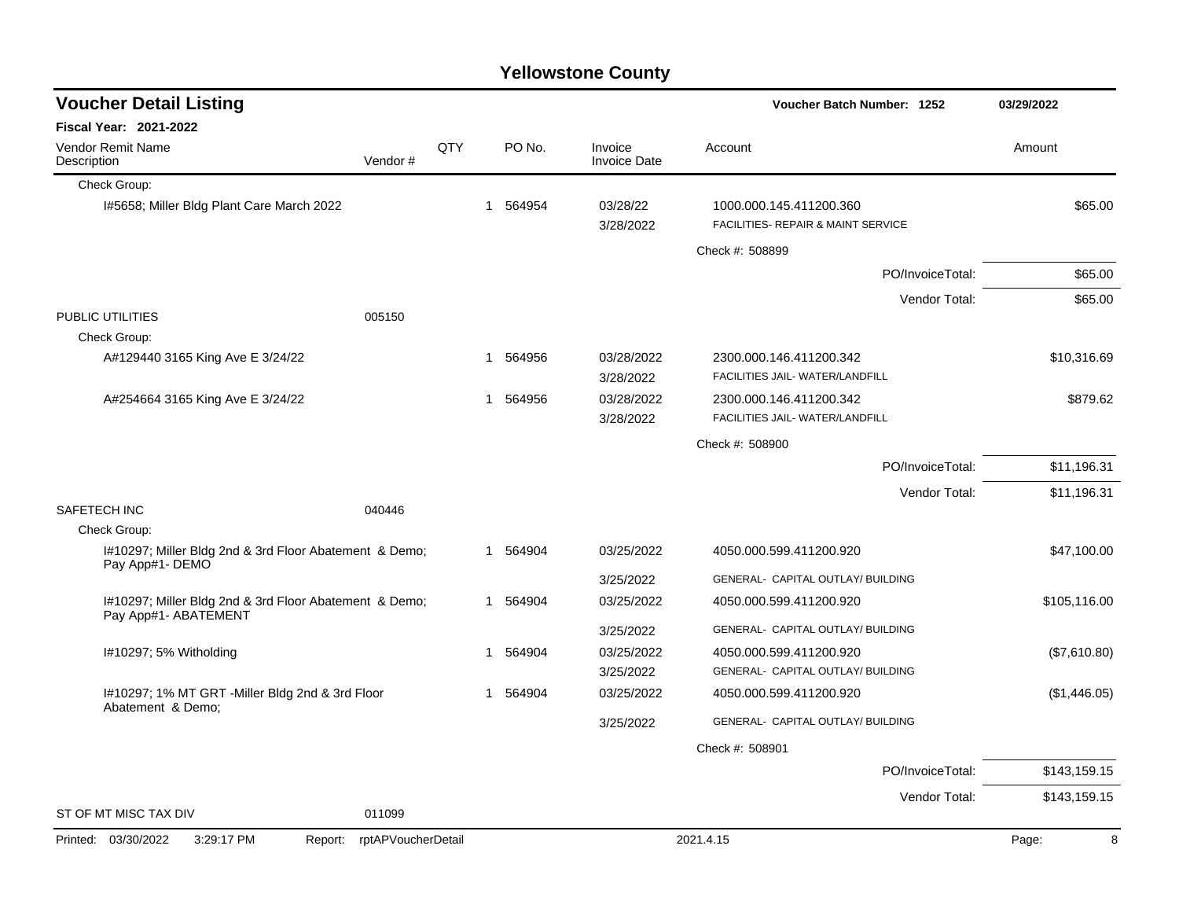| <b>Yellowstone County</b> |  |
|---------------------------|--|
|---------------------------|--|

| <b>Voucher Detail Listing</b>                                                  |                    |     |    |          |                                | Voucher Batch Number: 1252                                    |                  | 03/29/2022   |
|--------------------------------------------------------------------------------|--------------------|-----|----|----------|--------------------------------|---------------------------------------------------------------|------------------|--------------|
| <b>Fiscal Year: 2021-2022</b>                                                  |                    |     |    |          |                                |                                                               |                  |              |
| <b>Vendor Remit Name</b><br>Description                                        | Vendor#            | QTY |    | PO No.   | Invoice<br><b>Invoice Date</b> | Account                                                       |                  | Amount       |
| Check Group:                                                                   |                    |     |    |          |                                |                                                               |                  |              |
| I#5658; Miller Bldg Plant Care March 2022                                      |                    |     |    | 1 564954 | 03/28/22<br>3/28/2022          | 1000.000.145.411200.360<br>FACILITIES- REPAIR & MAINT SERVICE |                  | \$65.00      |
|                                                                                |                    |     |    |          |                                | Check #: 508899                                               |                  |              |
|                                                                                |                    |     |    |          |                                |                                                               | PO/InvoiceTotal: | \$65.00      |
|                                                                                |                    |     |    |          |                                |                                                               | Vendor Total:    | \$65.00      |
| PUBLIC UTILITIES<br>Check Group:                                               | 005150             |     |    |          |                                |                                                               |                  |              |
| A#129440 3165 King Ave E 3/24/22                                               |                    |     |    | 1 564956 | 03/28/2022<br>3/28/2022        | 2300.000.146.411200.342<br>FACILITIES JAIL- WATER/LANDFILL    |                  | \$10,316.69  |
| A#254664 3165 King Ave E 3/24/22                                               |                    |     | 1  | 564956   | 03/28/2022<br>3/28/2022        | 2300.000.146.411200.342<br>FACILITIES JAIL- WATER/LANDFILL    |                  | \$879.62     |
|                                                                                |                    |     |    |          |                                | Check #: 508900                                               |                  |              |
|                                                                                |                    |     |    |          |                                |                                                               | PO/InvoiceTotal: | \$11,196.31  |
|                                                                                |                    |     |    |          |                                |                                                               | Vendor Total:    | \$11,196.31  |
| <b>SAFETECH INC</b>                                                            | 040446             |     |    |          |                                |                                                               |                  |              |
| Check Group:                                                                   |                    |     |    |          |                                |                                                               |                  |              |
| I#10297; Miller Bldg 2nd & 3rd Floor Abatement & Demo;<br>Pay App#1- DEMO      |                    |     |    | 1 564904 | 03/25/2022                     | 4050.000.599.411200.920                                       |                  | \$47,100.00  |
|                                                                                |                    |     |    |          | 3/25/2022                      | GENERAL- CAPITAL OUTLAY/ BUILDING                             |                  |              |
| I#10297; Miller Bldg 2nd & 3rd Floor Abatement & Demo;<br>Pay App#1- ABATEMENT |                    |     |    | 1 564904 | 03/25/2022                     | 4050.000.599.411200.920                                       |                  | \$105,116.00 |
|                                                                                |                    |     |    |          | 3/25/2022                      | GENERAL- CAPITAL OUTLAY/ BUILDING                             |                  |              |
| I#10297; 5% Witholding                                                         |                    |     | -1 | 564904   | 03/25/2022                     | 4050.000.599.411200.920                                       |                  | (\$7,610.80) |
|                                                                                |                    |     |    |          | 3/25/2022                      | GENERAL- CAPITAL OUTLAY/ BUILDING                             |                  |              |
| I#10297; 1% MT GRT -Miller Bldg 2nd & 3rd Floor<br>Abatement & Demo;           |                    |     | -1 | 564904   | 03/25/2022                     | 4050.000.599.411200.920                                       |                  | (\$1,446.05) |
|                                                                                |                    |     |    |          | 3/25/2022                      | GENERAL- CAPITAL OUTLAY/ BUILDING                             |                  |              |
|                                                                                |                    |     |    |          |                                | Check #: 508901                                               |                  |              |
|                                                                                |                    |     |    |          |                                |                                                               | PO/InvoiceTotal: | \$143,159.15 |
|                                                                                |                    |     |    |          |                                |                                                               | Vendor Total:    | \$143,159.15 |
| ST OF MT MISC TAX DIV                                                          | 011099             |     |    |          |                                |                                                               |                  |              |
| Printed: 03/30/2022<br>3:29:17 PM<br>Report:                                   | rptAPVoucherDetail |     |    |          |                                | 2021.4.15                                                     |                  | 8<br>Page:   |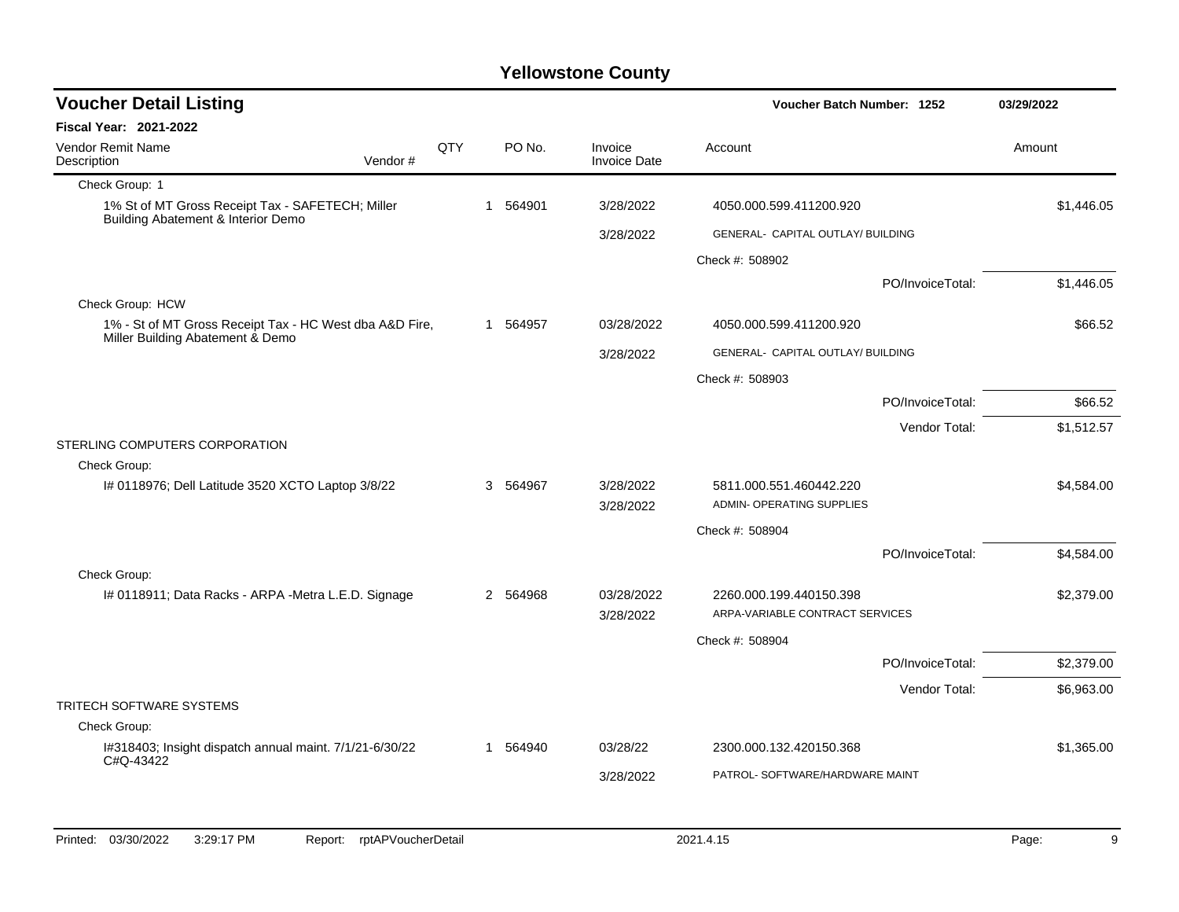| <b>Voucher Detail Listing</b>                                                               | Voucher Batch Number: 1252 |     | 03/29/2022 |          |                                |                                                            |                  |            |
|---------------------------------------------------------------------------------------------|----------------------------|-----|------------|----------|--------------------------------|------------------------------------------------------------|------------------|------------|
| <b>Fiscal Year: 2021-2022</b>                                                               |                            |     |            |          |                                |                                                            |                  |            |
| <b>Vendor Remit Name</b><br>Description                                                     | Vendor#                    | QTY |            | PO No.   | Invoice<br><b>Invoice Date</b> | Account                                                    |                  | Amount     |
| Check Group: 1                                                                              |                            |     |            |          |                                |                                                            |                  |            |
| 1% St of MT Gross Receipt Tax - SAFETECH; Miller<br>Building Abatement & Interior Demo      |                            |     |            | 1 564901 | 3/28/2022                      | 4050.000.599.411200.920                                    |                  | \$1,446.05 |
|                                                                                             |                            |     |            |          | 3/28/2022                      | GENERAL- CAPITAL OUTLAY/ BUILDING                          |                  |            |
|                                                                                             |                            |     |            |          |                                | Check #: 508902                                            |                  |            |
|                                                                                             |                            |     |            |          |                                |                                                            | PO/InvoiceTotal: | \$1,446.05 |
| Check Group: HCW                                                                            |                            |     |            |          |                                |                                                            |                  |            |
| 1% - St of MT Gross Receipt Tax - HC West dba A&D Fire,<br>Miller Building Abatement & Demo |                            |     |            | 1 564957 | 03/28/2022                     | 4050.000.599.411200.920                                    |                  | \$66.52    |
|                                                                                             |                            |     |            |          | 3/28/2022                      | GENERAL- CAPITAL OUTLAY/ BUILDING                          |                  |            |
|                                                                                             |                            |     |            |          |                                | Check #: 508903                                            |                  |            |
|                                                                                             |                            |     |            |          |                                |                                                            | PO/InvoiceTotal: | \$66.52    |
|                                                                                             |                            |     |            |          |                                |                                                            | Vendor Total:    | \$1,512.57 |
| STERLING COMPUTERS CORPORATION                                                              |                            |     |            |          |                                |                                                            |                  |            |
| Check Group:                                                                                |                            |     |            |          |                                |                                                            |                  |            |
| I# 0118976; Dell Latitude 3520 XCTO Laptop 3/8/22                                           |                            |     | 3          | 564967   | 3/28/2022<br>3/28/2022         | 5811.000.551.460442.220<br>ADMIN- OPERATING SUPPLIES       |                  | \$4,584.00 |
|                                                                                             |                            |     |            |          |                                | Check #: 508904                                            |                  |            |
|                                                                                             |                            |     |            |          |                                |                                                            | PO/InvoiceTotal: | \$4,584.00 |
| Check Group:                                                                                |                            |     |            |          |                                |                                                            |                  |            |
| I# 0118911; Data Racks - ARPA - Metra L.E.D. Signage                                        |                            |     |            | 2 564968 | 03/28/2022<br>3/28/2022        | 2260.000.199.440150.398<br>ARPA-VARIABLE CONTRACT SERVICES |                  | \$2,379.00 |
|                                                                                             |                            |     |            |          |                                | Check #: 508904                                            |                  |            |
|                                                                                             |                            |     |            |          |                                |                                                            | PO/InvoiceTotal: | \$2,379.00 |
|                                                                                             |                            |     |            |          |                                |                                                            | Vendor Total:    | \$6,963.00 |
| <b>TRITECH SOFTWARE SYSTEMS</b>                                                             |                            |     |            |          |                                |                                                            |                  |            |
| Check Group:                                                                                |                            |     |            |          |                                |                                                            |                  |            |
| I#318403; Insight dispatch annual maint. 7/1/21-6/30/22<br>C#Q-43422                        |                            |     |            | 1 564940 | 03/28/22                       | 2300.000.132.420150.368                                    |                  | \$1,365.00 |
|                                                                                             |                            |     |            |          | 3/28/2022                      | PATROL- SOFTWARE/HARDWARE MAINT                            |                  |            |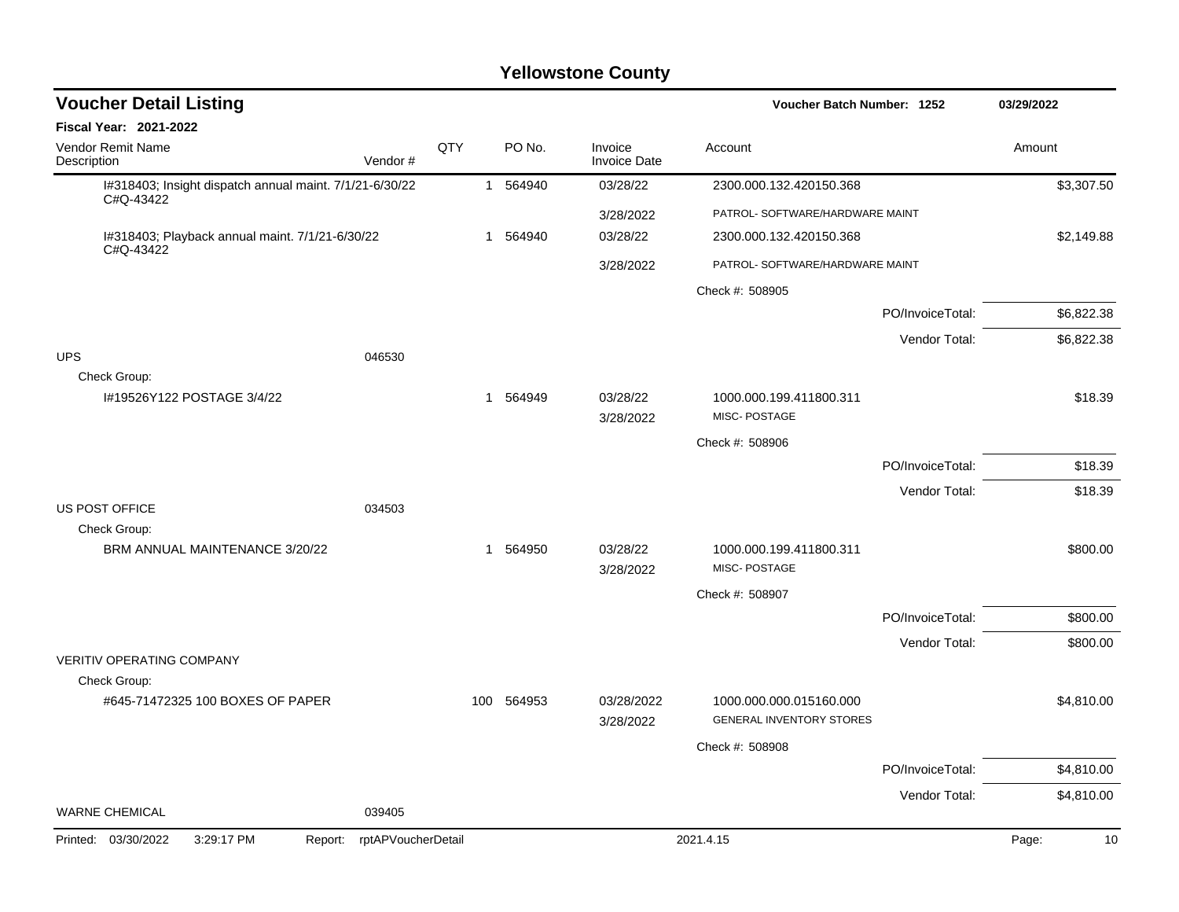| <b>Voucher Detail Listing</b>                                        |                    |     |             |          |                                | Voucher Batch Number: 1252                                 |                  | 03/29/2022  |
|----------------------------------------------------------------------|--------------------|-----|-------------|----------|--------------------------------|------------------------------------------------------------|------------------|-------------|
| Fiscal Year: 2021-2022                                               |                    |     |             |          |                                |                                                            |                  |             |
| Vendor Remit Name<br>Description                                     | Vendor#            | QTY |             | PO No.   | Invoice<br><b>Invoice Date</b> | Account                                                    |                  | Amount      |
| I#318403; Insight dispatch annual maint. 7/1/21-6/30/22<br>C#Q-43422 |                    |     |             | 1 564940 | 03/28/22                       | 2300.000.132.420150.368                                    |                  | \$3,307.50  |
|                                                                      |                    |     |             |          | 3/28/2022                      | PATROL- SOFTWARE/HARDWARE MAINT                            |                  |             |
| I#318403; Playback annual maint. 7/1/21-6/30/22                      |                    |     | 1           | 564940   | 03/28/22                       | 2300.000.132.420150.368                                    |                  | \$2,149.88  |
| C#Q-43422                                                            |                    |     |             |          | 3/28/2022                      | PATROL- SOFTWARE/HARDWARE MAINT                            |                  |             |
|                                                                      |                    |     |             |          |                                | Check #: 508905                                            |                  |             |
|                                                                      |                    |     |             |          |                                |                                                            | PO/InvoiceTotal: | \$6,822.38  |
|                                                                      |                    |     |             |          |                                |                                                            | Vendor Total:    | \$6,822.38  |
| <b>UPS</b>                                                           | 046530             |     |             |          |                                |                                                            |                  |             |
| Check Group:<br>I#19526Y122 POSTAGE 3/4/22                           |                    |     |             | 1 564949 | 03/28/22                       | 1000.000.199.411800.311<br>MISC-POSTAGE                    |                  | \$18.39     |
|                                                                      |                    |     |             |          | 3/28/2022                      | Check #: 508906                                            |                  |             |
|                                                                      |                    |     |             |          |                                |                                                            | PO/InvoiceTotal: | \$18.39     |
|                                                                      |                    |     |             |          |                                |                                                            | Vendor Total:    | \$18.39     |
| <b>US POST OFFICE</b>                                                | 034503             |     |             |          |                                |                                                            |                  |             |
| Check Group:                                                         |                    |     |             |          |                                |                                                            |                  |             |
| BRM ANNUAL MAINTENANCE 3/20/22                                       |                    |     | $\mathbf 1$ | 564950   | 03/28/22<br>3/28/2022          | 1000.000.199.411800.311<br>MISC-POSTAGE                    |                  | \$800.00    |
|                                                                      |                    |     |             |          |                                | Check #: 508907                                            |                  |             |
|                                                                      |                    |     |             |          |                                |                                                            | PO/InvoiceTotal: | \$800.00    |
|                                                                      |                    |     |             |          |                                |                                                            | Vendor Total:    | \$800.00    |
| <b>VERITIV OPERATING COMPANY</b><br>Check Group:                     |                    |     |             |          |                                |                                                            |                  |             |
| #645-71472325 100 BOXES OF PAPER                                     |                    |     | 100         | 564953   | 03/28/2022<br>3/28/2022        | 1000.000.000.015160.000<br><b>GENERAL INVENTORY STORES</b> |                  | \$4,810.00  |
|                                                                      |                    |     |             |          |                                | Check #: 508908                                            |                  |             |
|                                                                      |                    |     |             |          |                                |                                                            | PO/InvoiceTotal: | \$4,810.00  |
|                                                                      |                    |     |             |          |                                |                                                            | Vendor Total:    | \$4,810.00  |
| <b>WARNE CHEMICAL</b>                                                | 039405             |     |             |          |                                |                                                            |                  |             |
| Printed: 03/30/2022<br>3:29:17 PM<br>Report:                         | rptAPVoucherDetail |     |             |          |                                | 2021.4.15                                                  |                  | Page:<br>10 |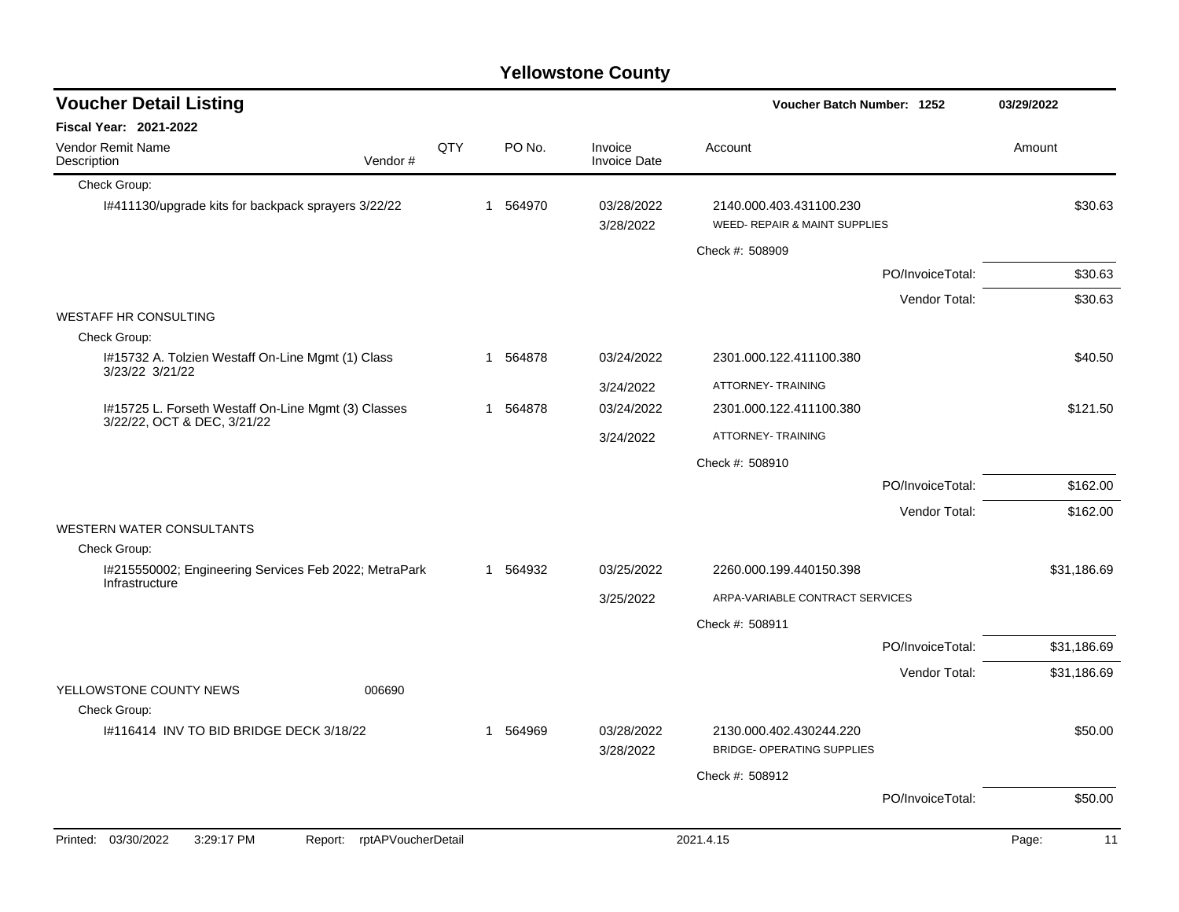| <b>Voucher Detail Listing</b>                                                      |                    |     |   |          |                                | Voucher Batch Number: 1252                                   |                  | 03/29/2022  |  |
|------------------------------------------------------------------------------------|--------------------|-----|---|----------|--------------------------------|--------------------------------------------------------------|------------------|-------------|--|
| <b>Fiscal Year: 2021-2022</b>                                                      |                    |     |   |          |                                |                                                              |                  |             |  |
| <b>Vendor Remit Name</b><br>Description                                            | Vendor#            | QTY |   | PO No.   | Invoice<br><b>Invoice Date</b> | Account                                                      |                  | Amount      |  |
| Check Group:                                                                       |                    |     |   |          |                                |                                                              |                  |             |  |
| I#411130/upgrade kits for backpack sprayers 3/22/22                                |                    |     |   | 1 564970 | 03/28/2022<br>3/28/2022        | 2140.000.403.431100.230<br>WEED- REPAIR & MAINT SUPPLIES     |                  | \$30.63     |  |
|                                                                                    |                    |     |   |          |                                | Check #: 508909                                              |                  |             |  |
|                                                                                    |                    |     |   |          |                                |                                                              | PO/InvoiceTotal: | \$30.63     |  |
|                                                                                    |                    |     |   |          |                                |                                                              | Vendor Total:    | \$30.63     |  |
| <b>WESTAFF HR CONSULTING</b>                                                       |                    |     |   |          |                                |                                                              |                  |             |  |
| Check Group:                                                                       |                    |     |   |          |                                |                                                              |                  |             |  |
| I#15732 A. Tolzien Westaff On-Line Mgmt (1) Class<br>3/23/22 3/21/22               |                    |     |   | 1 564878 | 03/24/2022                     | 2301.000.122.411100.380                                      |                  | \$40.50     |  |
|                                                                                    |                    |     |   |          | 3/24/2022                      | ATTORNEY-TRAINING                                            |                  |             |  |
| I#15725 L. Forseth Westaff On-Line Mgmt (3) Classes<br>3/22/22, OCT & DEC, 3/21/22 |                    |     |   | 1 564878 | 03/24/2022                     | 2301.000.122.411100.380                                      |                  | \$121.50    |  |
|                                                                                    |                    |     |   |          | 3/24/2022                      | ATTORNEY- TRAINING                                           |                  |             |  |
|                                                                                    |                    |     |   |          |                                | Check #: 508910                                              |                  |             |  |
|                                                                                    |                    |     |   |          |                                |                                                              | PO/InvoiceTotal: | \$162.00    |  |
|                                                                                    |                    |     |   |          |                                |                                                              | Vendor Total:    | \$162.00    |  |
| <b>WESTERN WATER CONSULTANTS</b>                                                   |                    |     |   |          |                                |                                                              |                  |             |  |
| Check Group:                                                                       |                    |     |   |          |                                |                                                              |                  |             |  |
| I#215550002; Engineering Services Feb 2022; MetraPark<br>Infrastructure            |                    |     |   | 1 564932 | 03/25/2022                     | 2260.000.199.440150.398                                      |                  | \$31,186.69 |  |
|                                                                                    |                    |     |   |          | 3/25/2022                      | ARPA-VARIABLE CONTRACT SERVICES                              |                  |             |  |
|                                                                                    |                    |     |   |          |                                | Check #: 508911                                              |                  |             |  |
|                                                                                    |                    |     |   |          |                                |                                                              | PO/InvoiceTotal: | \$31,186.69 |  |
|                                                                                    |                    |     |   |          |                                |                                                              | Vendor Total:    | \$31,186.69 |  |
| YELLOWSTONE COUNTY NEWS                                                            | 006690             |     |   |          |                                |                                                              |                  |             |  |
| Check Group:                                                                       |                    |     |   |          |                                |                                                              |                  |             |  |
| 1#116414 INV TO BID BRIDGE DECK 3/18/22                                            |                    |     | 1 | 564969   | 03/28/2022<br>3/28/2022        | 2130.000.402.430244.220<br><b>BRIDGE- OPERATING SUPPLIES</b> |                  | \$50.00     |  |
|                                                                                    |                    |     |   |          |                                | Check #: 508912                                              |                  |             |  |
|                                                                                    |                    |     |   |          |                                |                                                              | PO/InvoiceTotal: | \$50.00     |  |
|                                                                                    |                    |     |   |          |                                |                                                              |                  |             |  |
| Printed: 03/30/2022<br>3:29:17 PM<br>Report:                                       | rptAPVoucherDetail |     |   |          |                                | 2021.4.15                                                    |                  | Page:<br>11 |  |